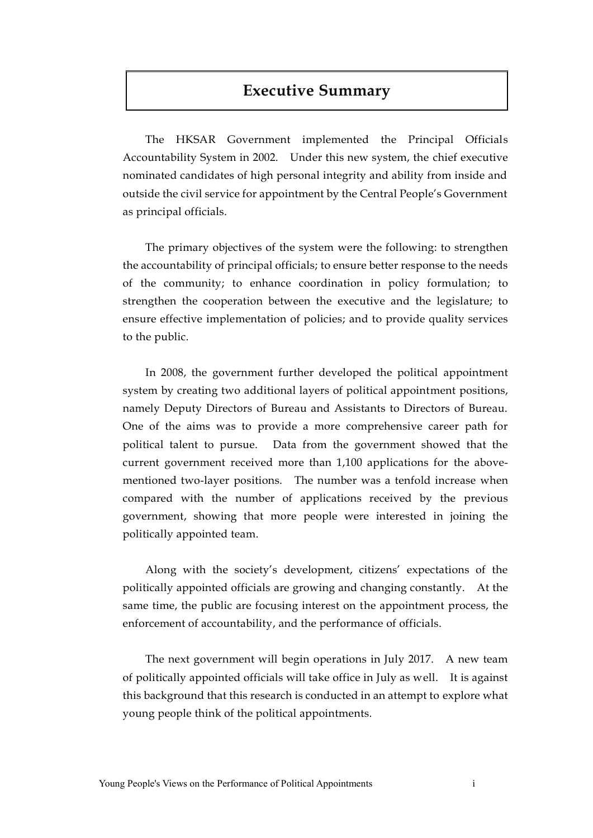# **Executive Summary**

The HKSAR Government implemented the Principal Officials Accountability System in 2002. Under this new system, the chief executive nominated candidates of high personal integrity and ability from inside and outside the civil service for appointment by the Central People's Government as principal officials.

The primary objectives of the system were the following: to strengthen the accountability of principal officials; to ensure better response to the needs of the community; to enhance coordination in policy formulation; to strengthen the cooperation between the executive and the legislature; to ensure effective implementation of policies; and to provide quality services to the public.

In 2008, the government further developed the political appointment system by creating two additional layers of political appointment positions, namely Deputy Directors of Bureau and Assistants to Directors of Bureau. One of the aims was to provide a more comprehensive career path for political talent to pursue. Data from the government showed that the current government received more than 1,100 applications for the abovementioned two-layer positions. The number was a tenfold increase when compared with the number of applications received by the previous government, showing that more people were interested in joining the politically appointed team.

Along with the society's development, citizens' expectations of the politically appointed officials are growing and changing constantly. At the same time, the public are focusing interest on the appointment process, the enforcement of accountability, and the performance of officials.

The next government will begin operations in July 2017. A new team of politically appointed officials will take office in July as well. It is against this background that this research is conducted in an attempt to explore what young people think of the political appointments.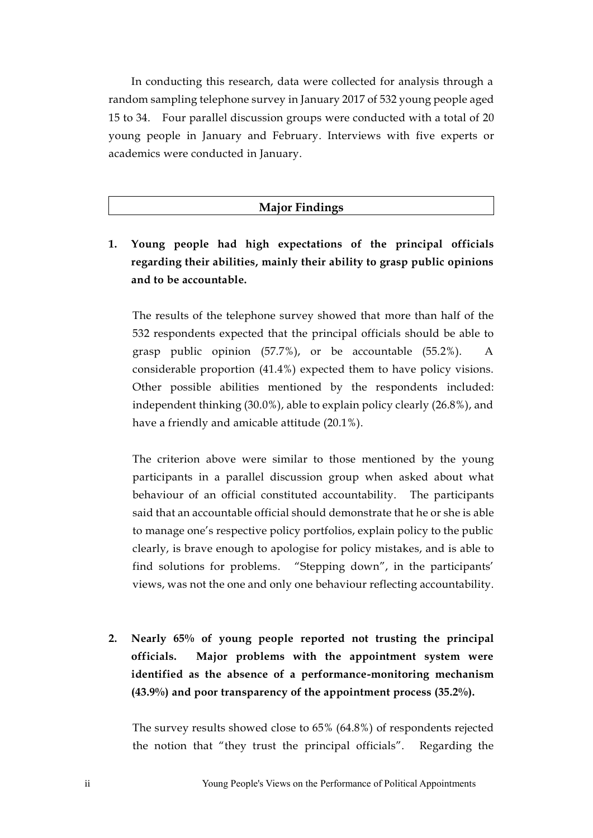In conducting this research, data were collected for analysis through a random sampling telephone survey in January 2017 of 532 young people aged 15 to 34. Four parallel discussion groups were conducted with a total of 20 young people in January and February. Interviews with five experts or academics were conducted in January.

### **Major Findings**

**1. Young people had high expectations of the principal officials regarding their abilities, mainly their ability to grasp public opinions and to be accountable.** 

The results of the telephone survey showed that more than half of the 532 respondents expected that the principal officials should be able to grasp public opinion  $(57.7%)$ , or be accountable  $(55.2%)$ . considerable proportion (41.4%) expected them to have policy visions. Other possible abilities mentioned by the respondents included: independent thinking (30.0%), able to explain policy clearly (26.8%), and have a friendly and amicable attitude (20.1%).

The criterion above were similar to those mentioned by the young participants in a parallel discussion group when asked about what behaviour of an official constituted accountability. The participants said that an accountable official should demonstrate that he or she is able to manage one's respective policy portfolios, explain policy to the public clearly, is brave enough to apologise for policy mistakes, and is able to find solutions for problems. "Stepping down", in the participants' views, was not the one and only one behaviour reflecting accountability.

**2. Nearly 65% of young people reported not trusting the principal officials. Major problems with the appointment system were identified as the absence of a performance-monitoring mechanism (43.9%) and poor transparency of the appointment process (35.2%).**

The survey results showed close to 65% (64.8%) of respondents rejected the notion that "they trust the principal officials". Regarding the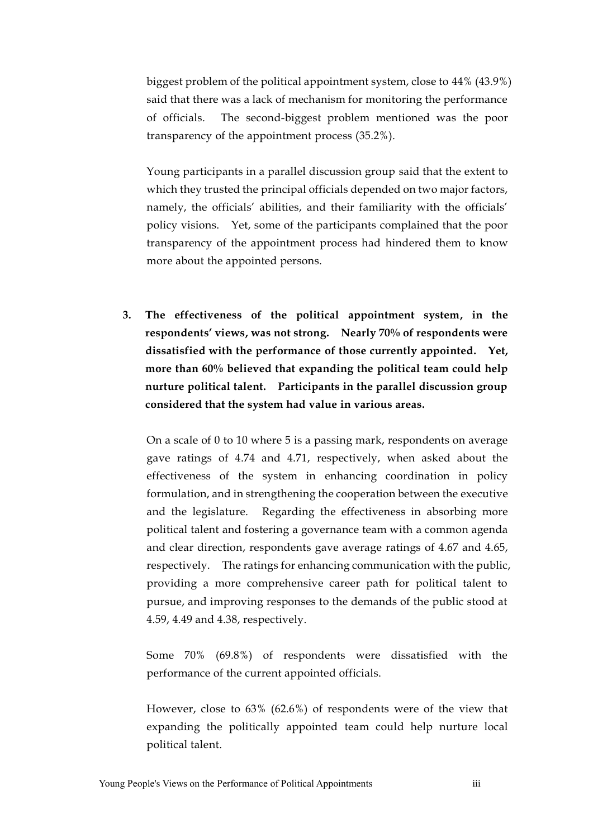biggest problem of the political appointment system, close to 44% (43.9%) said that there was a lack of mechanism for monitoring the performance of officials. The second-biggest problem mentioned was the poor transparency of the appointment process (35.2%).

Young participants in a parallel discussion group said that the extent to which they trusted the principal officials depended on two major factors, namely, the officials' abilities, and their familiarity with the officials' policy visions. Yet, some of the participants complained that the poor transparency of the appointment process had hindered them to know more about the appointed persons.

**3. The effectiveness of the political appointment system, in the respondents' views, was not strong. Nearly 70% of respondents were dissatisfied with the performance of those currently appointed. Yet, more than 60% believed that expanding the political team could help nurture political talent. Participants in the parallel discussion group considered that the system had value in various areas.** 

On a scale of 0 to 10 where 5 is a passing mark, respondents on average gave ratings of 4.74 and 4.71, respectively, when asked about the effectiveness of the system in enhancing coordination in policy formulation, and in strengthening the cooperation between the executive and the legislature. Regarding the effectiveness in absorbing more political talent and fostering a governance team with a common agenda and clear direction, respondents gave average ratings of 4.67 and 4.65, respectively. The ratings for enhancing communication with the public, providing a more comprehensive career path for political talent to pursue, and improving responses to the demands of the public stood at 4.59, 4.49 and 4.38, respectively.

Some 70% (69.8%) of respondents were dissatisfied with the performance of the current appointed officials.

However, close to 63% (62.6%) of respondents were of the view that expanding the politically appointed team could help nurture local political talent.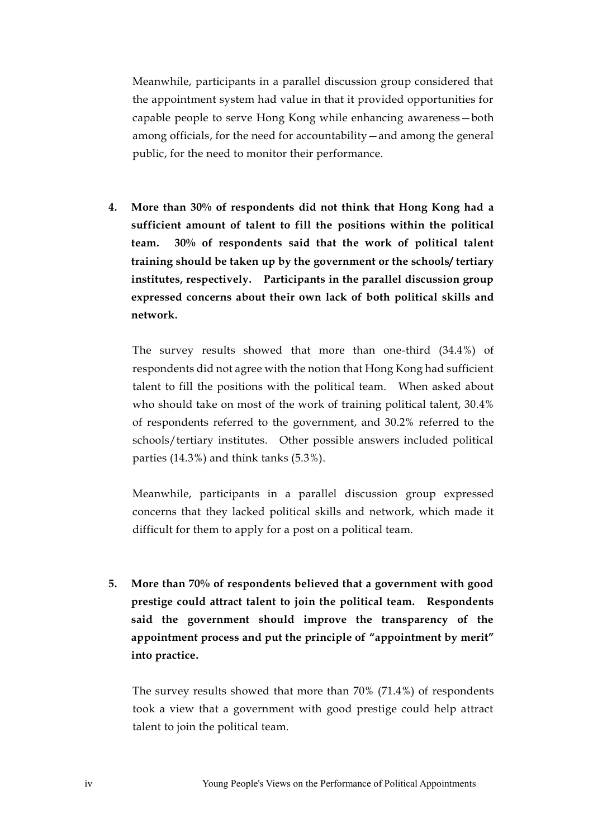Meanwhile, participants in a parallel discussion group considered that the appointment system had value in that it provided opportunities for capable people to serve Hong Kong while enhancing awareness—both among officials, for the need for accountability—and among the general public, for the need to monitor their performance.

**4. More than 30% of respondents did not think that Hong Kong had a sufficient amount of talent to fill the positions within the political team. 30% of respondents said that the work of political talent training should be taken up by the government or the schools/ tertiary institutes, respectively. Participants in the parallel discussion group expressed concerns about their own lack of both political skills and network.**

The survey results showed that more than one-third (34.4%) of respondents did not agree with the notion that Hong Kong had sufficient talent to fill the positions with the political team. When asked about who should take on most of the work of training political talent, 30.4% of respondents referred to the government, and 30.2% referred to the schools/tertiary institutes. Other possible answers included political parties (14.3%) and think tanks (5.3%).

Meanwhile, participants in a parallel discussion group expressed concerns that they lacked political skills and network, which made it difficult for them to apply for a post on a political team.

**5. More than 70% of respondents believed that a government with good prestige could attract talent to join the political team. Respondents said the government should improve the transparency of the appointment process and put the principle of "appointment by merit" into practice.** 

The survey results showed that more than 70% (71.4%) of respondents took a view that a government with good prestige could help attract talent to join the political team.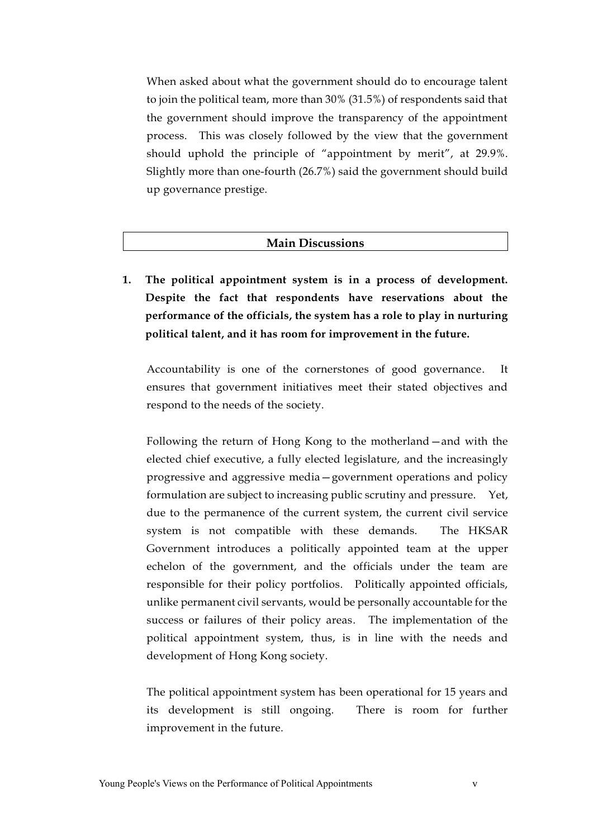When asked about what the government should do to encourage talent to join the political team, more than 30% (31.5%) of respondents said that the government should improve the transparency of the appointment process. This was closely followed by the view that the government should uphold the principle of "appointment by merit", at 29.9%. Slightly more than one-fourth (26.7%) said the government should build up governance prestige.

### **Main Discussions**

**1. The political appointment system is in a process of development. Despite the fact that respondents have reservations about the performance of the officials, the system has a role to play in nurturing political talent, and it has room for improvement in the future.** 

Accountability is one of the cornerstones of good governance. It ensures that government initiatives meet their stated objectives and respond to the needs of the society.

Following the return of Hong Kong to the motherland—and with the elected chief executive, a fully elected legislature, and the increasingly progressive and aggressive media—government operations and policy formulation are subject to increasing public scrutiny and pressure. Yet, due to the permanence of the current system, the current civil service system is not compatible with these demands. The HKSAR Government introduces a politically appointed team at the upper echelon of the government, and the officials under the team are responsible for their policy portfolios. Politically appointed officials, unlike permanent civil servants, would be personally accountable for the success or failures of their policy areas. The implementation of the political appointment system, thus, is in line with the needs and development of Hong Kong society.

The political appointment system has been operational for 15 years and its development is still ongoing. There is room for further improvement in the future.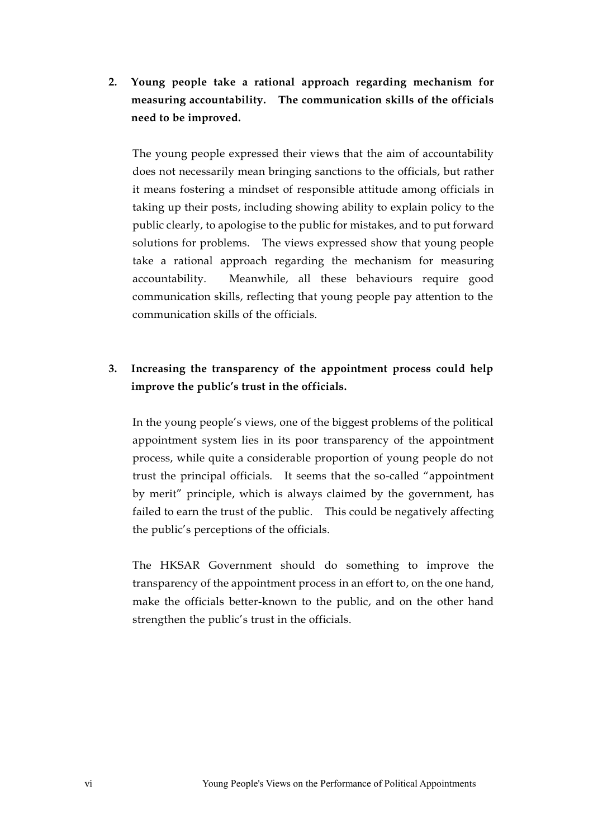**2. Young people take a rational approach regarding mechanism for measuring accountability. The communication skills of the officials need to be improved.** 

The young people expressed their views that the aim of accountability does not necessarily mean bringing sanctions to the officials, but rather it means fostering a mindset of responsible attitude among officials in taking up their posts, including showing ability to explain policy to the public clearly, to apologise to the public for mistakes, and to put forward solutions for problems. The views expressed show that young people take a rational approach regarding the mechanism for measuring accountability. Meanwhile, all these behaviours require good communication skills, reflecting that young people pay attention to the communication skills of the officials.

# **3. Increasing the transparency of the appointment process could help improve the public's trust in the officials.**

In the young people's views, one of the biggest problems of the political appointment system lies in its poor transparency of the appointment process, while quite a considerable proportion of young people do not trust the principal officials. It seems that the so-called "appointment by merit" principle, which is always claimed by the government, has failed to earn the trust of the public. This could be negatively affecting the public's perceptions of the officials.

The HKSAR Government should do something to improve the transparency of the appointment process in an effort to, on the one hand, make the officials better-known to the public, and on the other hand strengthen the public's trust in the officials.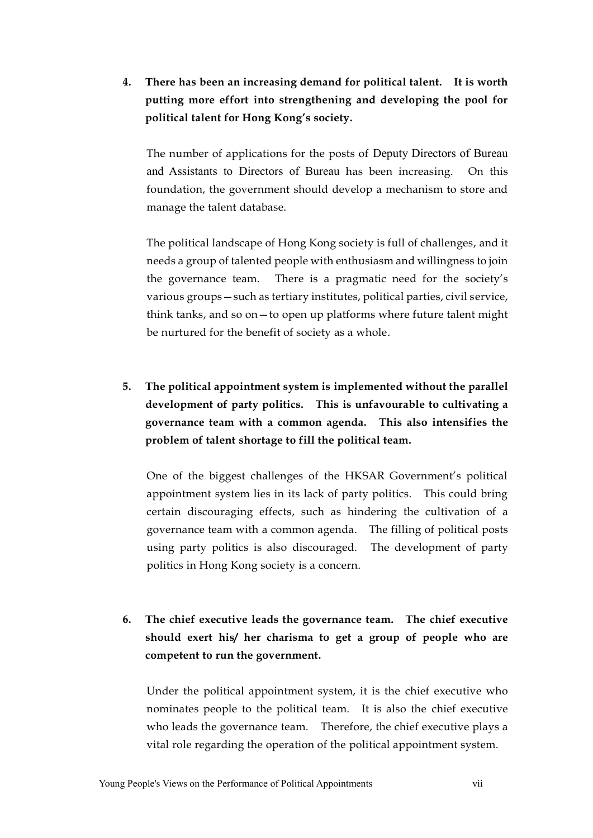**4. There has been an increasing demand for political talent. It is worth putting more effort into strengthening and developing the pool for political talent for Hong Kong's society.** 

The number of applications for the posts of Deputy Directors of Bureau and Assistants to Directors of Bureau has been increasing. On this foundation, the government should develop a mechanism to store and manage the talent database.

The political landscape of Hong Kong society is full of challenges, and it needs a group of talented people with enthusiasm and willingness to join the governance team. There is a pragmatic need for the society's various groups—such as tertiary institutes, political parties, civil service, think tanks, and so on—to open up platforms where future talent might be nurtured for the benefit of society as a whole.

**5. The political appointment system is implemented without the parallel development of party politics. This is unfavourable to cultivating a governance team with a common agenda. This also intensifies the problem of talent shortage to fill the political team.** 

One of the biggest challenges of the HKSAR Government's political appointment system lies in its lack of party politics. This could bring certain discouraging effects, such as hindering the cultivation of a governance team with a common agenda. The filling of political posts using party politics is also discouraged. The development of party politics in Hong Kong society is a concern.

**6. The chief executive leads the governance team. The chief executive should exert his/ her charisma to get a group of people who are competent to run the government.** 

Under the political appointment system, it is the chief executive who nominates people to the political team. It is also the chief executive who leads the governance team. Therefore, the chief executive plays a vital role regarding the operation of the political appointment system.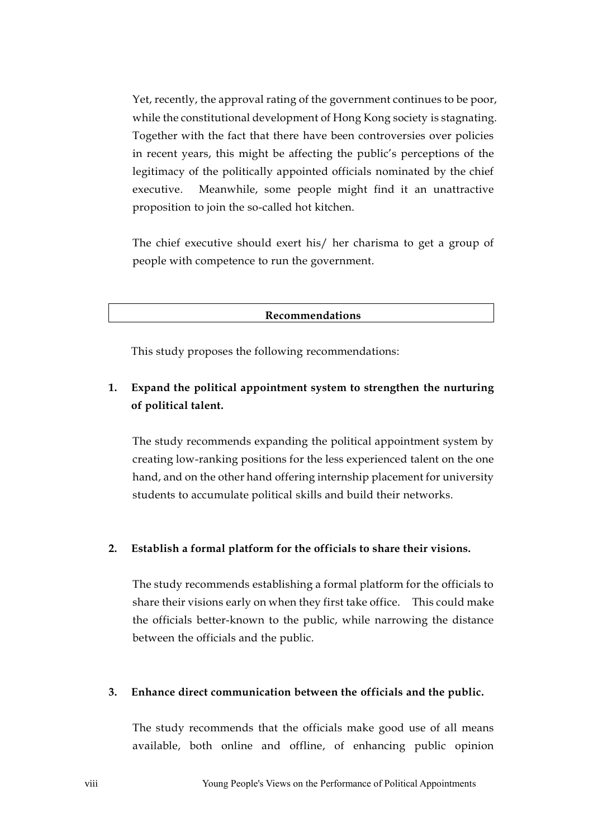Yet, recently, the approval rating of the government continues to be poor, while the constitutional development of Hong Kong society is stagnating. Together with the fact that there have been controversies over policies in recent years, this might be affecting the public's perceptions of the legitimacy of the politically appointed officials nominated by the chief executive. Meanwhile, some people might find it an unattractive proposition to join the so-called hot kitchen.

The chief executive should exert his/ her charisma to get a group of people with competence to run the government.

**Recommendations**

This study proposes the following recommendations:

## **1. Expand the political appointment system to strengthen the nurturing of political talent.**

The study recommends expanding the political appointment system by creating low-ranking positions for the less experienced talent on the one hand, and on the other hand offering internship placement for university students to accumulate political skills and build their networks.

#### **2. Establish a formal platform for the officials to share their visions.**

The study recommends establishing a formal platform for the officials to share their visions early on when they first take office. This could make the officials better-known to the public, while narrowing the distance between the officials and the public.

### **3. Enhance direct communication between the officials and the public.**

The study recommends that the officials make good use of all means available, both online and offline, of enhancing public opinion